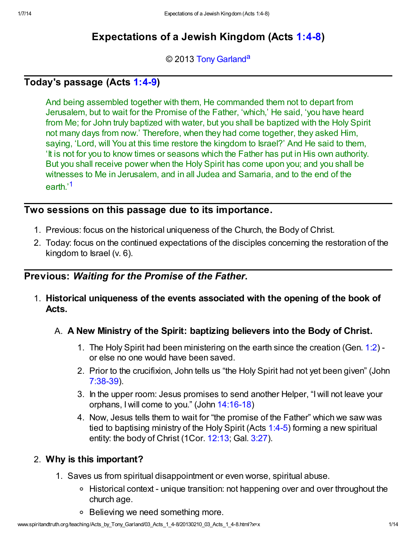# Expectations of a Jewish Kingdom (Acts [1:4-8](http://www.spiritandtruth.org/bibles/nasb/b44c001.htm#Acts_C1V4))

#### <span id="page-0-1"></span>© 2013 [Tony Garland](http://www.spiritandtruth.org/id/tg.htm)<sup>[a](#page-13-0)</sup>

## Today's passage (Acts [1:4-9\)](http://www.spiritandtruth.org/bibles/nasb/b44c001.htm#Acts_C1V4)

And being assembled together with them, He commanded them not to depart from Jerusalem, but to wait for the Promise of the Father, 'which,' He said, 'you have heard from Me; for John truly baptized with water, but you shall be baptized with the Holy Spirit not many days from now.' Therefore, when they had come together, they asked Him, saying, 'Lord, will You at this time restore the kingdom to Israel?' And He said to them, 'It is not for you to know times or seasons which the Father has put in His own authority. But you shall receive power when the Holy Spirit has come upon you; and you shall be witnesses to Me in Jerusalem, and in all Judea and Samaria, and to the end of the earth.'<sup>[1](#page-11-0)</sup>

## <span id="page-0-0"></span>Two sessions on this passage due to its importance.

- 1. Previous: focus on the historical uniqueness of the Church, the Body of Christ.
- 2. Today: focus on the continued expectations of the disciples concerning the restoration of the kingdom to  $\text{Israel}$  (v. 6).

# Previous: Waiting for the Promise of the Father.

1. Historical uniqueness of the events associated with the opening of the book of Acts.

## A. A New Ministry of the Spirit: baptizing believers into the Body of Christ.

- 1. The Holy Spirit had been ministering on the earth since the creation (Gen. [1:2](http://www.spiritandtruth.org/bibles/nasb/b01c001.htm#Gen._C1V2)) or else no one would have been saved.
- 2. Prior to the crucifixion, John tells us "the Holy Spirit had not yet been given" (John [7:38-39\)](http://www.spiritandtruth.org/bibles/nasb/b43c007.htm#John_C7V38).
- 3. In the upper room: Jesus promises to send another Helper, "I will not leave your orphans, I will come to you." (John [14:16-18](http://www.spiritandtruth.org/bibles/nasb/b43c014.htm#John_C14V16))
- 4. Now, Jesus tells them to wait for "the promise of the Father" which we saw was tied to baptising ministry of the Holy Spirit (Acts [1:4-5\)](http://www.spiritandtruth.org/bibles/nasb/b44c001.htm#Acts_C1V4) forming a new spiritual entity: the body of Christ (1Cor. [12:13](http://www.spiritandtruth.org/bibles/nasb/b46c012.htm#1Cor._C12V13); Gal. [3:27](http://www.spiritandtruth.org/bibles/nasb/b48c003.htm#Gal._C3V27)).

## 2. Why is this important?

- 1. Saves us from spiritual disappointment or even worse, spiritual abuse.
	- Historical context unique transition: not happening over and over throughout the church age.
	- Believing we need something more.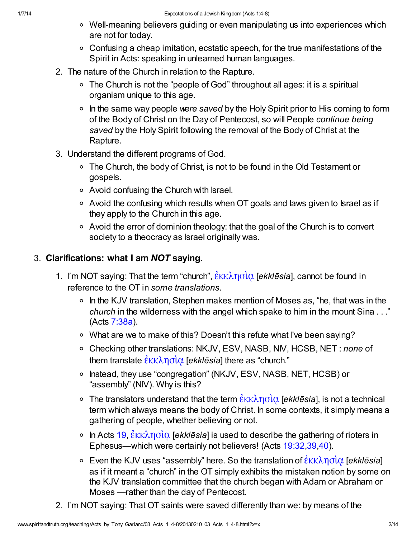- Well-meaning believers guiding or even manipulating us into experiences which are not for today.
- Confusing a cheap imitation, ecstatic speech, for the true manifestations of the Spirit in Acts: speaking in unlearned human languages.
- 2. The nature of the Church in relation to the Rapture.
	- The Church is not the "people of God" throughout all ages: it is a spiritual organism unique to this age.
	- $\circ$  In the same way people were saved by the Holy Spirit prior to His coming to form of the Body of Christ on the Day of Pentecost, so will People continue being saved by the Holy Spirit following the removal of the Body of Christ at the Rapture.
- 3. Understand the different programs of God.
	- The Church, the body of Christ, is not to be found in the Old Testament or gospels.
	- Avoid confusing the Church with Israel.
	- Avoid the confusing which results when OT goals and laws given to Israel as if they apply to the Church in this age.
	- Avoid the error of dominion theology: that the goal of the Church is to convert society to a theocracy as Israel originally was.

## 3. Clarifications: what I am NOT saying.

- 1. I'm NOT saying: That the term "church",  $\frac{\partial K}{\partial \rho}$  [ekklesia], cannot be found in reference to the OT in some translations.
	- $\circ$  In the KJV translation, Stephen makes mention of Moses as, "he, that was in the church in the wilderness with the angel which spake to him in the mount Sina . . ." (Acts [7:38a\)](http://www.spiritandtruth.org/bibles/nasb/b44c007.htm#Acts_C7V38).
	- What are we to make of this? Doesn't this refute what I've been saying?
	- Checking other translations: NKJV, ESV, NASB, NIV, HCSB, NET : none of them translate  $\frac{\partial x}{\partial \alpha}$  [ekklēsia] there as "church."
	- Instead, they use "congregation" (NKJV, ESV, NASB, NET, HCSB) or "assembly" (NIV). Why is this?
	- The translators understand that the term  $\frac{\partial K}{\partial \theta}$  [ekklēsia], is not a technical term which always means the body of Christ. In some contexts, it simply means a gathering of people, whether believing or not.
	- <sup>o</sup> In Acts [19,](http://www.spiritandtruth.org/bibles/nasb/b44c019.htm#Acts_C19V1)  $\frac{\partial \kappa}{\partial \phi}$  [ekklēsia] is used to describe the gathering of rioters in Ephesus—which were certainly not believers! (Acts [19:32,](http://www.spiritandtruth.org/bibles/nasb/b44c019.htm#Acts_C19V32)[39](http://www.spiritandtruth.org/bibles/nasb/b44c019.htm#Acts_C19V39)[,40\)](http://www.spiritandtruth.org/bibles/nasb/b44c019.htm#Acts_C19V40).
	- **Even the KJV uses "assembly" here. So the translation of**  $\mathring{\epsilon}$ **κκλησὶα [ekklēsia]** as if it meant a "church" in the OT simply exhibits the mistaken notion by some on the KJV translation committee that the church began with Adam or Abraham or Moses —rather than the day of Pentecost.
- 2. I'm NOT saying: That OT saints were saved differently than we: by means of the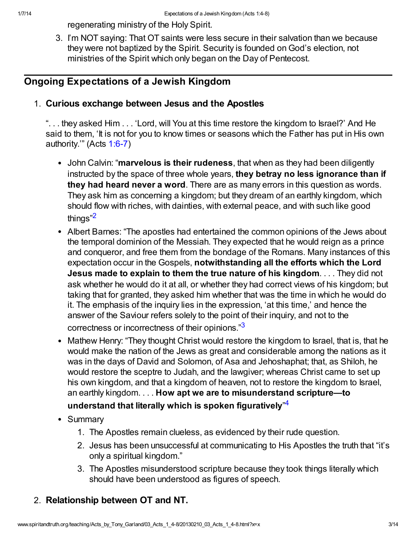regenerating ministry of the Holy Spirit.

3. I'm NOT saying: That OT saints were less secure in their salvation than we because they were not baptized by the Spirit. Security is founded on God's election, not ministries of the Spirit which only began on the Day of Pentecost.

## Ongoing Expectations of a Jewish Kingdom

### 1. Curious exchange between Jesus and the Apostles

". . . they asked Him . . . 'Lord, will You at this time restore the kingdom to Israel?' And He said to them, 'It is not for you to know times or seasons which the Father has put in His own authority.'" (Acts  $1:6-7$ )

- John Calvin: "marvelous is their rudeness, that when as they had been diligently instructed by the space of three whole years, they betray no less ignorance than if they had heard never a word. There are as many errors in this question as words. They ask him as concerning a kingdom; but they dream of an earthly kingdom, which should flow with riches, with dainties, with external peace, and with such like good things"[2](#page-11-1)
- <span id="page-2-0"></span>Albert Barnes: "The apostles had entertained the common opinions of the Jews about the temporal dominion of the Messiah. They expected that he would reign as a prince and conqueror, and free them from the bondage of the Romans. Many instances of this expectation occur in the Gospels, notwithstanding all the efforts which the Lord Jesus made to explain to them the true nature of his kingdom.... They did not ask whether he would do it at all, or whether they had correct views of his kingdom; but taking that for granted, they asked him whether that was the time in which he would do it. The emphasis of the inquiry lies in the expression, 'at this time,' and hence the answer of the Saviour refers solely to the point of their inquiry, and not to the correctness or incorrectness of their opinions."[3](#page-11-2)
- <span id="page-2-1"></span>• Mathew Henry: "They thought Christ would restore the kingdom to Israel, that is, that he would make the nation of the Jews as great and considerable among the nations as it was in the days of David and Solomon, of Asa and Jehoshaphat; that, as Shiloh, he would restore the sceptre to Judah, and the lawgiver; whereas Christ came to set up his own kingdom, and that a kingdom of heaven, not to restore the kingdom to Israel, an earthly kingdom. . . . How apt we are to misunderstand scripture—to

## <span id="page-2-2"></span>understand that literally which is spoken figuratively<sup></sup>"<sup>[4](#page-11-3)</sup>

- Summary
	- 1. The Apostles remain clueless, as evidenced by their rude question.
	- 2. Jesus has been unsuccessful at communicating to His Apostles the truth that "it's only a spiritual kingdom."
	- 3. The Apostles misunderstood scripture because they took things literally which should have been understood as figures of speech.

# 2. Relationship between OT and NT.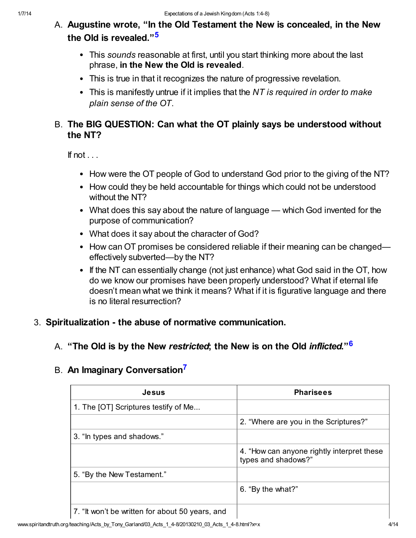- <span id="page-3-0"></span>A. Augustine wrote, "In the Old Testament the New is concealed, in the New the Old is revealed."[5](#page-11-4)
	- This sounds reasonable at first, until you start thinking more about the last phrase, in the New the Old is revealed.
	- This is true in that it recognizes the nature of progressive revelation.
	- This is manifestly untrue if it implies that the NT is required in order to make plain sense of the OT.

## B. The BIG QUESTION: Can what the OT plainly says be understood without the NT?

If not  $\ldots$ 

- How were the OT people of God to understand God prior to the giving of the NT?
- How could they be held accountable for things which could not be understood without the NT?
- What does this say about the nature of language which God invented for the purpose of communication?
- What does it say about the character of God?
- How can OT promises be considered reliable if their meaning can be changed effectively subverted—by the NT?
- <span id="page-3-1"></span>• If the NT can essentially change (not just enhance) what God said in the OT, how do we know our promises have been properly understood? What if eternal life doesn't mean what we think it means? What if it is figurative language and there is no literal resurrection?

#### 3. Spiritualization - the abuse of normative communication.

#### A. "The Old is by the New restricted; the New is on the Old inflicted."<sup>[6](#page-11-5)</sup>

## B. An Imaginary Conversation<sup>[7](#page-11-6)</sup>

<span id="page-3-2"></span>

| <b>Jesus</b>                                    | <b>Pharisees</b>                                                  |
|-------------------------------------------------|-------------------------------------------------------------------|
| 1. The [OT] Scriptures testify of Me            |                                                                   |
|                                                 | 2. "Where are you in the Scriptures?"                             |
| 3. "In types and shadows."                      |                                                                   |
|                                                 | 4. "How can anyone rightly interpret these<br>types and shadows?" |
| 5. "By the New Testament."                      |                                                                   |
|                                                 | 6. "By the what?"                                                 |
| 7. "It won't be written for about 50 years, and |                                                                   |

www.spiritandtruth.org/teaching/Acts\_by\_Tony\_Garland/03\_Acts\_1\_4-8/20130210\_03\_Acts\_1\_4-8.html?x=x 4/14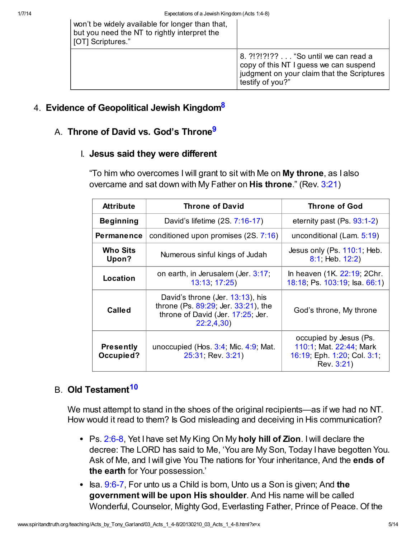| won't be widely available for longer than that,<br>but you need the NT to rightly interpret the<br>[OT] Scriptures." |                                                                                                                                                 |
|----------------------------------------------------------------------------------------------------------------------|-------------------------------------------------------------------------------------------------------------------------------------------------|
|                                                                                                                      | 8. ?!?!?!?? "So until we can read a<br>copy of this NT I guess we can suspend<br>judgment on your claim that the Scriptures<br>testify of you?" |

### 4. Evidence of Geopolitical Jewish Kingdom<sup>[8](#page-11-7)</sup>

## A. Throne of David vs. God's Throne<sup>[9](#page-11-8)</sup>

#### I. Jesus said they were different

<span id="page-4-1"></span><span id="page-4-0"></span>"To him who overcomes I will grant to sit with Me on My throne, as I also overcame and sat down with My Father on His throne." (Rev. [3:21\)](http://www.spiritandtruth.org/bibles/nasb/b66c003.htm#Rev._C3V21)

| <b>Attribute</b>              | <b>Throne of David</b>                                                                                                    | <b>Throne of God</b>                                                                           |
|-------------------------------|---------------------------------------------------------------------------------------------------------------------------|------------------------------------------------------------------------------------------------|
| <b>Beginning</b>              | David's lifetime (2S. 7:16-17)                                                                                            | eternity past $(Ps. 93:1-2)$                                                                   |
| <b>Permanence</b>             | conditioned upon promises (2S. 7:16)                                                                                      | unconditional (Lam. 5:19)                                                                      |
| <b>Who Sits</b><br>Upon?      | Numerous sinful kings of Judah                                                                                            | Jesus only (Ps. 110:1, Heb.<br>8:1; Heb. 12:2)                                                 |
| Location                      | on earth, in Jerusalem (Jer. 3:17,<br>13:13, 17:25)                                                                       | In heaven (1K. 22:19; 2Chr.<br>18:18; Ps. 103:19; Isa. 66:1)                                   |
| Called                        | David's throne (Jer. 13:13), his<br>throne (Ps. 89:29; Jer. 33:21), the<br>throne of David (Jer. 17:25; Jer.<br>22:2,4,30 | God's throne, My throne                                                                        |
| <b>Presently</b><br>Occupied? | unoccupied (Hos. $3:4$ ; Mic. $4:9$ ; Mat.<br>25:31; Rev. 3:21)                                                           | occupied by Jesus (Ps.<br>110:1; Mat. 22:44; Mark<br>16:19; Eph. 1:20; Col. 3:1;<br>Rev. 3:21) |

## B. Old Testament<sup>[10](#page-12-0)</sup>

<span id="page-4-2"></span>We must attempt to stand in the shoes of the original recipients—as if we had no NT. How would it read to them? Is God misleading and deceiving in His communication?

- Ps. [2:6-8,](http://www.spiritandtruth.org/bibles/nasb/b19c002.htm#Ps._C2V6) Yet I have set My King On My holy hill of Zion. I will declare the decree: The LORD has said to Me, 'You are My Son, Today I have begotten You. Ask of Me, and I will give You The nations for Your inheritance, And the ends of the earth for Your possession.'
- Isa.  $9:6$ -7, For unto us a Child is born, Unto us a Son is given; And the government will be upon His shoulder. And His name will be called Wonderful, Counselor, Mighty God, Everlasting Father, Prince of Peace. Of the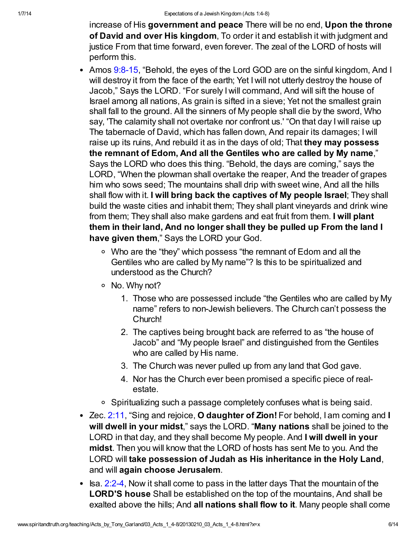increase of His government and peace There will be no end, Upon the throne of David and over His kingdom, To order it and establish it with judgment and justice From that time forward, even forever. The zeal of the LORD of hosts will perform this.

- Amos [9:8-15,](http://www.spiritandtruth.org/bibles/nasb/b30c009.htm#Amos_C9V8) "Behold, the eyes of the Lord GOD are on the sinful kingdom, And I will destroy it from the face of the earth; Yet I will not utterly destroy the house of Jacob," Says the LORD. "For surely I will command, And will sift the house of Israel among all nations, As grain is sifted in a sieve; Yet not the smallest grain shall fall to the ground. All the sinners of My people shall die by the sword, Who say, 'The calamity shall not overtake nor confront us.' "On that day I will raise up The tabernacle of David, which has fallen down, And repair its damages; I will raise up its ruins, And rebuild it as in the days of old; That they may possess the remnant of Edom, And all the Gentiles who are called by My name," Says the LORD who does this thing. "Behold, the days are coming," says the LORD, "When the plowman shall overtake the reaper, And the treader of grapes him who sows seed; The mountains shall drip with sweet wine, And all the hills shall flow with it. I will bring back the captives of My people Israel; They shall build the waste cities and inhabit them; They shall plant vineyards and drink wine from them; They shall also make gardens and eat fruit from them. I will plant them in their land, And no longer shall they be pulled up From the land I have given them," Says the LORD your God.
	- Who are the "they" which possess "the remnant of Edom and all the Gentiles who are called by My name"? Is this to be spiritualized and understood as the Church?
	- No. Why not?
		- 1. Those who are possessed include "the Gentiles who are called by My name" refers to non-Jewish believers. The Church can't possess the Church!
		- 2. The captives being brought back are referred to as "the house of Jacob" and "My people Israel" and distinguished from the Gentiles who are called by His name.
		- 3. The Church was never pulled up from any land that God gave.
		- 4. Nor has the Church ever been promised a specific piece of realestate.
	- Spiritualizing such a passage completely confuses what is being said.
- Zec. [2:11,](http://www.spiritandtruth.org/bibles/nasb/b38c002.htm#Zec._C2V11) "Sing and rejoice, O daughter of Zion! For behold, I am coming and I will dwell in your midst," says the LORD. "Many nations shall be joined to the LORD in that day, and they shall become My people. And I will dwell in your midst. Then you will know that the LORD of hosts has sent Me to you. And the LORD will take possession of Judah as His inheritance in the Holy Land, and will again choose Jerusalem.
- $\bullet$  Isa. [2:2-4,](http://www.spiritandtruth.org/bibles/nasb/b23c002.htm#Isa._C2V2) Now it shall come to pass in the latter days That the mountain of the LORD'S house Shall be established on the top of the mountains, And shall be exalted above the hills; And all nations shall flow to it. Many people shall come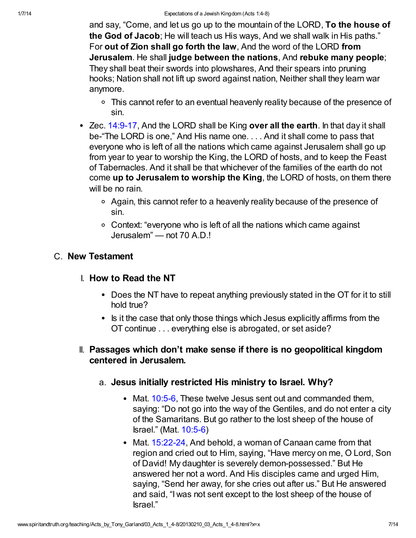and say, "Come, and let us go up to the mountain of the LORD, To the house of the God of Jacob; He will teach us His ways, And we shall walk in His paths." For out of Zion shall go forth the law, And the word of the LORD from Jerusalem. He shall judge between the nations, And rebuke many people; They shall beat their swords into plowshares, And their spears into pruning hooks; Nation shall not lift up sword against nation, Neither shall they learn war anymore.

- This cannot refer to an eventual heavenly reality because of the presence of sin.
- $\bullet$  Zec. [14:9-17,](http://www.spiritandtruth.org/bibles/nasb/b38c014.htm#Zec._C14V9) And the LORD shall be King over all the earth. In that day it shall be-"The LORD is one," And His name one. . . . And it shall come to pass that everyone who is left of all the nations which came against Jerusalem shall go up from year to year to worship the King, the LORD of hosts, and to keep the Feast of Tabernacles. And it shall be that whichever of the families of the earth do not come up to Jerusalem to worship the King, the LORD of hosts, on them there will be no rain.
	- Again, this cannot refer to a heavenly reality because of the presence of sin.
	- Context: "everyone who is left of all the nations which came against Jerusalem" — not 70 A.D.!

## C. New Testament

- I. How to Read the NT
	- Does the NT have to repeat anything previously stated in the OT for it to still hold true?
	- Is it the case that only those things which Jesus explicitly affirms from the OT continue . . . everything else is abrogated, or set aside?
- II. Passages which don't make sense if there is no geopolitical kingdom centered in Jerusalem.
	- a. Jesus initially restricted His ministry to Israel. Why?
		- Mat. [10:5-6,](http://www.spiritandtruth.org/bibles/nasb/b40c010.htm#Mat._C10V5) These twelve Jesus sent out and commanded them, saying: "Do not go into the way of the Gentiles, and do not enter a city of the Samaritans. But go rather to the lost sheep of the house of Israel." (Mat. [10:5-6\)](http://www.spiritandtruth.org/bibles/nasb/b40c010.htm#Mat._C10V5)
		- Mat. [15:22-24](http://www.spiritandtruth.org/bibles/nasb/b40c015.htm#Mat._C15V22), And behold, a woman of Canaan came from that region and cried out to Him, saying, "Have mercy on me, O Lord, Son of David! My daughter is severely demon-possessed." But He answered her not a word. And His disciples came and urged Him, saying, "Send her away, for she cries out after us." But He answered and said, "I was not sent except to the lost sheep of the house of Israel."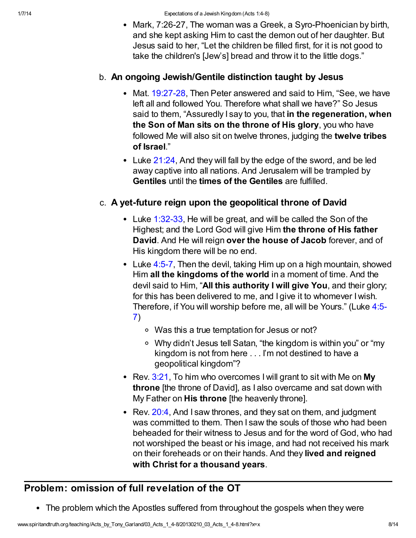• Mark, 7:26-27, The woman was a Greek, a Syro-Phoenician by birth, and she kept asking Him to cast the demon out of her daughter. But Jesus said to her, "Let the children be filled first, for it is not good to take the children's [Jew's] bread and throw it to the little dogs."

#### b. An ongoing Jewish/Gentile distinction taught by Jesus

- Mat. [19:27-28](http://www.spiritandtruth.org/bibles/nasb/b40c019.htm#Mat._C19V27), Then Peter answered and said to Him, "See, we have left all and followed You. Therefore what shall we have?" So Jesus said to them, "Assuredly I say to you, that in the regeneration, when the Son of Man sits on the throne of His glory, you who have followed Me will also sit on twelve thrones, judging the twelve tribes of Israel."
- Luke [21:24](http://www.spiritandtruth.org/bibles/nasb/b42c021.htm#Luke_C21V24), And they will fall by the edge of the sword, and be led away captive into all nations. And Jerusalem will be trampled by Gentiles until the times of the Gentiles are fulfilled.

#### c. A yet-future reign upon the geopolitical throne of David

- Luke [1:32-33](http://www.spiritandtruth.org/bibles/nasb/b42c001.htm#Luke_C1V32), He will be great, and will be called the Son of the Highest; and the Lord God will give Him the throne of His father David. And He will reign over the house of Jacob forever, and of His kingdom there will be no end.
- Luke [4:5-7,](http://www.spiritandtruth.org/bibles/nasb/b42c004.htm#Luke_C4V5) Then the devil, taking Him up on a high mountain, showed Him all the kingdoms of the world in a moment of time. And the devil said to Him, "All this authority I will give You, and their glory; for this has been delivered to me, and I give it to whomever I wish. [Therefore, if You will worship before me, all will be Yours." \(Luke 4:5-](http://www.spiritandtruth.org/bibles/nasb/b42c004.htm#Luke_C4V5) 7)
	- Was this a true temptation for Jesus or not?
	- Why didn't Jesus tell Satan, "the kingdom is within you" or "my kingdom is not from here . . . I'm not destined to have a geopolitical kingdom"?
- Rev.  $3:21$ , To him who overcomes I will grant to sit with Me on My throne [the throne of David], as I also overcame and sat down with My Father on **His throne** [the heavenly throne].
- Rev. [20:4](http://www.spiritandtruth.org/bibles/nasb/b66c020.htm#Rev._C20V4), And I saw thrones, and they sat on them, and judgment was committed to them. Then I saw the souls of those who had been beheaded for their witness to Jesus and for the word of God, who had not worshiped the beast or his image, and had not received his mark on their foreheads or on their hands. And they lived and reigned with Christ for a thousand years.

# Problem: omission of full revelation of the OT

The problem which the Apostles suffered from throughout the gospels when they were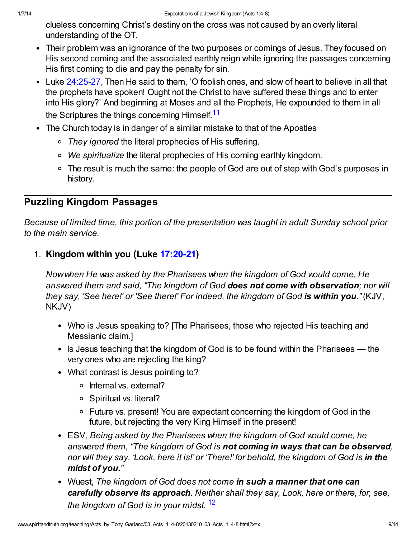clueless concerning Christ's destiny on the cross was not caused by an overly literal understanding of the OT.

- Their problem was an ignorance of the two purposes or comings of Jesus. They focused on His second coming and the associated earthly reign while ignoring the passages concerning His first coming to die and pay the penalty for sin.
- Luke [24:25-27](http://www.spiritandtruth.org/bibles/nasb/b42c024.htm#Luke_C24V25), Then He said to them, 'O foolish ones, and slow of heart to believe in all that the prophets have spoken! Ought not the Christ to have suffered these things and to enter into His glory?' And beginning at Moses and all the Prophets, He expounded to them in all the Scriptures the things concerning Himself.<sup>[11](#page-12-1)</sup>
- <span id="page-8-0"></span>The Church today is in danger of a similar mistake to that of the Apostles
	- They ignored the literal prophecies of His suffering.
	- We spiritualize the literal prophecies of His coming earthly kingdom.
	- The result is much the same: the people of God are out of step with God's purposes in history.

## Puzzling Kingdom Passages

Because of limited time, this portion of the presentation was taught in adult Sunday school prior to the main service.

1. Kingdom within you (Luke [17:20-21](http://www.spiritandtruth.org/bibles/nasb/b42c017.htm#Luke_C17V20))

Now when He was asked by the Pharisees when the kingdom of God would come, He answered them and said, "The kingdom of God does not come with observation; nor will they say, 'See here!' or 'See there!' For indeed, the kingdom of God is within you." (KJV, NKJV)

- Who is Jesus speaking to? [The Pharisees, those who rejected His teaching and Messianic claim.]
- $\bullet$  is Jesus teaching that the kingdom of God is to be found within the Pharisees the very ones who are rejecting the king?
- What contrast is Jesus pointing to?
	- o Internal vs. external?
	- Spiritual vs. literal?
	- Future vs. present! You are expectant concerning the kingdom of God in the future, but rejecting the very King Himself in the present!
- ESV, Being asked by the Pharisees when the kingdom of God would come, he answered them, "The kingdom of God is not coming in ways that can be observed, nor will they say, 'Look, here it is!' or 'There!' for behold, the kingdom of God is in the midst of you."
- <span id="page-8-1"></span>• Wuest, The kingdom of God does not come in such a manner that one can carefully observe its approach. Neither shall they say, Look, here or there, for, see, the kingdom of God is in your midst.  $12$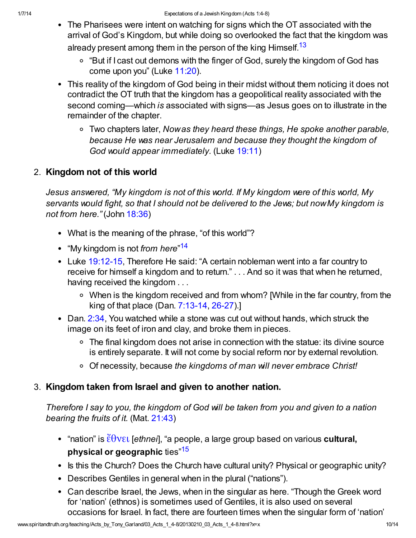- <span id="page-9-0"></span>The Pharisees were intent on watching for signs which the OT associated with the arrival of God's Kingdom, but while doing so overlooked the fact that the kingdom was already present among them in the person of the king Himself.<sup>[13](#page-12-3)</sup>
	- "But if I cast out demons with the finger of God, surely the kingdom of God has come upon you" (Luke [11:20](http://www.spiritandtruth.org/bibles/nasb/b42c011.htm#Luke_C11V20)).
- This reality of the kingdom of God being in their midst without them noticing it does not contradict the OT truth that the kingdom has a geopolitical reality associated with the second coming—which is associated with signs—as Jesus goes on to illustrate in the remainder of the chapter.
	- Two chapters later, Now as they heard these things, He spoke another parable, because He was near Jerusalem and because they thought the kingdom of God would appear immediately. (Luke [19:11\)](http://www.spiritandtruth.org/bibles/nasb/b42c019.htm#Luke_C19V11)

## 2. Kingdom not of this world

Jesus answered, "My kingdom is not of this world. If My kingdom were of this world, My servants would fight, so that I should not be delivered to the Jews; but now My kingdom is not from here." (John [18:36](http://www.spiritandtruth.org/bibles/nasb/b43c018.htm#John_C18V36))

- What is the meaning of the phrase, "of this world"?
- <span id="page-9-1"></span>"My kingdom is not *from here*"<sup>[14](#page-12-4)</sup>
- Luke [19:12-15](http://www.spiritandtruth.org/bibles/nasb/b42c019.htm#Luke_C19V12), Therefore He said: "A certain nobleman went into a far country to receive for himself a kingdom and to return." . . . And so it was that when he returned, having received the kingdom . . .
	- When is the kingdom received and from whom? [While in the far country, from the king of that place (Dan. [7:13-14](http://www.spiritandtruth.org/bibles/nasb/b27c007.htm#Dan._C7V13), [26-27\)](http://www.spiritandtruth.org/bibles/nasb/b27c007.htm#Dan._C7V26).]
- Dan. [2:34,](http://www.spiritandtruth.org/bibles/nasb/b27c002.htm#Dan._C2V34) You watched while a stone was cut out without hands, which struck the image on its feet of iron and clay, and broke them in pieces.
	- The final kingdom does not arise in connection with the statue: its divine source is entirely separate. It will not come by social reform nor by external revolution.
	- o Of necessity, because the kingdoms of man will never embrace Christ!

## 3. Kingdom taken from Israel and given to another nation.

Therefore I say to you, the kingdom of God will be taken from you and given to a nation bearing the fruits of it. (Mat. [21:43\)](http://www.spiritandtruth.org/bibles/nasb/b40c021.htm#Mat._C21V43)

- <span id="page-9-2"></span>• "nation" is  $\ddot{\epsilon} \theta$ νει [ethnei], "a people, a large group based on various cultural, physical or geographic ties<sup>"[15](#page-12-5)</sup>
- Is this the Church? Does the Church have cultural unity? Physical or geographic unity?
- Describes Gentiles in general when in the plural ("nations").
- Can describe Israel, the Jews, when in the singular as here. "Though the Greek word for 'nation' (ethnos) is sometimes used of Gentiles, it is also used on several occasions for Israel. In fact, there are fourteen times when the singular form of 'nation'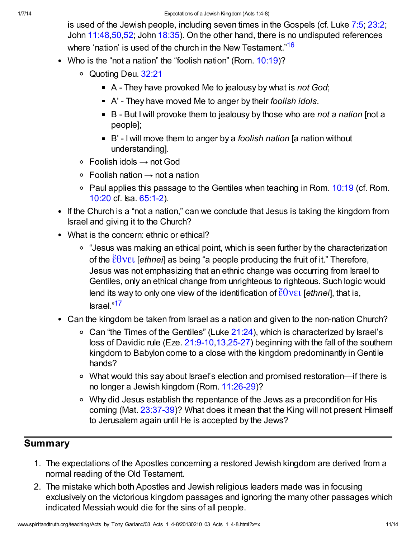<span id="page-10-0"></span>is used of the Jewish people, including seven times in the Gospels (cf. Luke [7:5](http://www.spiritandtruth.org/bibles/nasb/b42c007.htm#Luke_C7V5); [23:2](http://www.spiritandtruth.org/bibles/nasb/b42c023.htm#Luke_C23V2); John [11:48](http://www.spiritandtruth.org/bibles/nasb/b43c011.htm#John_C11V48)[,50](http://www.spiritandtruth.org/bibles/nasb/b43c011.htm#John_C11V50)[,52](http://www.spiritandtruth.org/bibles/nasb/b43c011.htm#John_C11V52); John [18:35](http://www.spiritandtruth.org/bibles/nasb/b43c018.htm#John_C18V35)). On the other hand, there is no undisputed references where 'nation' is used of the church in the New Testament."<sup>[16](#page-12-6)</sup>

- Who is the "not a nation" the "foolish nation" (Rom. [10:19](http://www.spiritandtruth.org/bibles/nasb/b45c010.htm#Rom._C10V19))?
	- Quoting Deu. [32:21](http://www.spiritandtruth.org/bibles/nasb/b05c032.htm#Deu._C32V21)
		- $\blacksquare$  A They have provoked Me to jealousy by what is not God;
		- A' They have moved Me to anger by their foolish idols.
		- $\blacksquare$  B But I will provoke them to jealousy by those who are not a nation [not a people];
		- $\blacksquare$  B' I will move them to anger by a *foolish nation* [a nation without understanding].
	- $\circ$  Foolish idols  $\rightarrow$  not God
	- $\circ$  Foolish nation  $\rightarrow$  not a nation
	- Paul applies this passage to the Gentiles when teaching in Rom.  $10:19$  (cf. Rom. [10:20](http://www.spiritandtruth.org/bibles/nasb/b45c010.htm#Rom._C10V20) cf. Isa. [65:1-2](http://www.spiritandtruth.org/bibles/nasb/b23c065.htm#Isa._C65V1)).
- If the Church is a "not a nation," can we conclude that Jesus is taking the kingdom from Israel and giving it to the Church?
- What is the concern: ethnic or ethical?
	- "Jesus was making an ethical point, which is seen further by the characterization of the  $\ell \theta$ νει [ethnei] as being "a people producing the fruit of it." Therefore, Jesus was not emphasizing that an ethnic change was occurring from Israel to Gentiles, only an ethical change from unrighteous to righteous. Such logic would lend its way to only one view of the identification of  $\ddot{\epsilon} \theta$  ver [ethner], that is, Israel."[17](#page-12-7)
- <span id="page-10-1"></span>Can the kingdom be taken from Israel as a nation and given to the non-nation Church?
	- Can "the Times of the Gentiles" (Luke  $21:24$ ), which is characterized by Israel's loss of Davidic rule (Eze. [21:9-10](http://www.spiritandtruth.org/bibles/nasb/b26c021.htm#Eze._C21V9)[,13,](http://www.spiritandtruth.org/bibles/nasb/b26c021.htm#Eze._C21V13)[25-27\)](http://www.spiritandtruth.org/bibles/nasb/b26c021.htm#Eze._C21V25) beginning with the fall of the southern kingdom to Babylon come to a close with the kingdom predominantly in Gentile hands?
	- What would this say about Israel's election and promised restoration—if there is no longer a Jewish kingdom (Rom. [11:26-29\)](http://www.spiritandtruth.org/bibles/nasb/b45c011.htm#Rom._C11V26)?
	- Why did Jesus establish the repentance of the Jews as a precondition for His coming (Mat. [23:37-39](http://www.spiritandtruth.org/bibles/nasb/b40c023.htm#Mat._C23V37))? What does it mean that the King will not present Himself to Jerusalem again until He is accepted by the Jews?

## **Summary**

- 1. The expectations of the Apostles concerning a restored Jewish kingdom are derived from a normal reading of the Old Testament.
- 2. The mistake which both Apostles and Jewish religious leaders made was in focusing exclusively on the victorious kingdom passages and ignoring the many other passages which indicated Messiah would die for the sins of all people.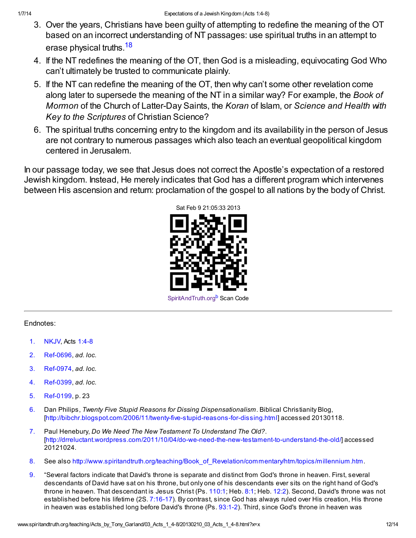- 3. Over the years, Christians have been guilty of attempting to redefine the meaning of the OT based on an incorrect understanding of NT passages: use spiritual truths in an attempt to erase physical truths.<sup>[18](#page-12-8)</sup>
- <span id="page-11-9"></span>4. If the NT redefines the meaning of the OT, then God is a misleading, equivocating God Who can't ultimately be trusted to communicate plainly.
- 5. If the NT can redefine the meaning of the OT, then why can't some other revelation come along later to supersede the meaning of the NT in a similar way? For example, the Book of Mormon of the Church of Latter-Day Saints, the Koran of Islam, or Science and Health with Key to the Scriptures of Christian Science?
- 6. The spiritual truths concerning entry to the kingdom and its availability in the person of Jesus are not contrary to numerous passages which also teach an eventual geopolitical kingdom centered in Jerusalem.

In our passage today, we see that Jesus does not correct the Apostle's expectation of a restored Jewish kingdom. Instead, He merely indicates that God has a different program which intervenes between His ascension and return: proclamation of the gospel to all nations by the body of Christ.

<span id="page-11-10"></span>

#### Endnotes:

- <span id="page-11-0"></span>[1.](#page-0-0) NKJV, Acts [1:4-8](http://www.spiritandtruth.org/bibles/nasb/b44c001.htm#Acts_C1V4)
- <span id="page-11-1"></span>[2.](#page-2-0) Ref-0696, ad. loc.
- <span id="page-11-2"></span>[3.](#page-2-1) Ref-0974, ad. loc.
- <span id="page-11-3"></span>[4.](#page-2-2) Ref-0399, ad. loc.
- <span id="page-11-4"></span>[5.](#page-3-0) Ref-0199, p. 23
- <span id="page-11-5"></span>[6.](#page-3-1) Dan Philips, Twenty Five Stupid Reasons for Dissing Dispensationalism. Biblical Christianity Blog, [\[http://bibchr.blogspot.com/2006/11/twenty-five-stupid-reasons-for-dissing.html\]](http://bibchr.blogspot.com/2006/11/twenty-five-stupid-reasons-for-dissing.html) accessed 20130118.
- <span id="page-11-6"></span>[7.](#page-3-2) Paul Henebury, Do We Need The New Testament To Understand The Old?. [\[http://drreluctant.wordpress.com/2011/10/04/do-we-need-the-new-testament-to-understand-the-old/](http://drreluctant.wordpress.com/2011/10/04/do-we-need-the-new-testament-to-understand-the-old/)] accessed 20121024.
- <span id="page-11-7"></span>[8.](#page-4-0) See also [http://www.spiritandtruth.org/teaching/Book\\_of\\_Revelation/commentary/htm/topics/millennium.htm](http://www.spiritandtruth.org/teaching/Book_of_Revelation/commentary/htm/topics/millennium.htm).
- <span id="page-11-8"></span>[9.](#page-4-1) "Several factors indicate that David's throne is separate and distinct from God's throne in heaven. First, several descendants of David have sat on his throne, but only one of his descendants ever sits on the right hand of God's throne in heaven. That descendant is Jesus Christ (Ps. [110:1;](http://www.spiritandtruth.org/bibles/nasb/b19c110.htm#Ps._C110V1) Heb. [8:1](http://www.spiritandtruth.org/bibles/nasb/b58c008.htm#Heb._C8V1); Heb. [12:2](http://www.spiritandtruth.org/bibles/nasb/b58c012.htm#Heb._C12V2)). Second, David's throne was not established before his lifetime (2S. [7:16-17](http://www.spiritandtruth.org/bibles/nasb/b10c007.htm#2S._C7V16)). By contrast, since God has always ruled over His creation, His throne in heaven was established long before David's throne (Ps. [93:1-2](http://www.spiritandtruth.org/bibles/nasb/b19c093.htm#Ps._C93V1)). Third, since God's throne in heaven was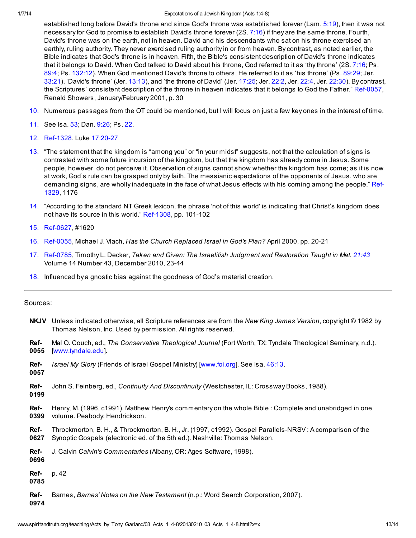#### 1/7/14 Expectations of a Jewish Kingdom (Acts 1:4-8)

established long before David's throne and since God's throne was established forever (Lam. [5:19](http://www.spiritandtruth.org/bibles/nasb/b25c005.htm#Lam._C5V19)), then it was not necessary for God to promise to establish David's throne forever (2S. [7:16](http://www.spiritandtruth.org/bibles/nasb/b10c007.htm#2S._C7V16)) if they are the same throne. Fourth, David's throne was on the earth, not in heaven. David and his descendants who sat on his throne exercised an earthly, ruling authority. They never exercised ruling authority in or from heaven. By contrast, as noted earlier, the Bible indicates that God's throne is in heaven. Fifth, the Bible's consistent description of David's throne indicates that it belongs to David. When God talked to David about his throne, God referred to it as 'thy throne' (2S. [7:16](http://www.spiritandtruth.org/bibles/nasb/b10c007.htm#2S._C7V16); Ps. [89:4](http://www.spiritandtruth.org/bibles/nasb/b19c089.htm#Ps._C89V4); Ps. [132:12](http://www.spiritandtruth.org/bibles/nasb/b19c132.htm#Ps._C132V12)). When God mentioned David's throne to others, He referred to it as 'his throne' (Ps. [89:29](http://www.spiritandtruth.org/bibles/nasb/b19c089.htm#Ps._C89V29); Jer. [33:21\)](http://www.spiritandtruth.org/bibles/nasb/b24c033.htm#Jer._C33V21), 'David's throne' (Jer. [13:13](http://www.spiritandtruth.org/bibles/nasb/b24c013.htm#Jer._C13V13)), and 'the throne of David' (Jer. [17:25;](http://www.spiritandtruth.org/bibles/nasb/b24c017.htm#Jer._C17V25) Jer. [22:2](http://www.spiritandtruth.org/bibles/nasb/b24c022.htm#Jer._C22V2), Jer. [22:4](http://www.spiritandtruth.org/bibles/nasb/b24c022.htm#Jer._C22V4), Jer. [22:30\)](http://www.spiritandtruth.org/bibles/nasb/b24c022.htm#Jer._C22V30). By contrast, the Scriptures' consistent description of the throne in heaven indicates that it belongs to God the Father." Ref-0057, Renald Showers, January/February 2001, p. 30

- <span id="page-12-0"></span>[10.](#page-4-2) Numerous passages from the OT could be mentioned, but I will focus on just a few key ones in the interest of time.
- <span id="page-12-1"></span>[11.](#page-8-0) See Isa. [53;](http://www.spiritandtruth.org/bibles/nasb/b23c053.htm#Isa._C53V1) Dan. [9:26;](http://www.spiritandtruth.org/bibles/nasb/b27c009.htm#Dan._C9V26) Ps. [22.](http://www.spiritandtruth.org/bibles/nasb/b19c022.htm#Ps._C22V1)
- <span id="page-12-2"></span>[12.](#page-8-1) Ref-1328, Luke [17:20-27](http://www.spiritandtruth.org/bibles/nasb/b42c017.htm#Luke_C17V20)
- <span id="page-12-3"></span>[13.](#page-9-0) "The statement that the kingdom is "among you" or "in your midst" suggests, not that the calculation of signs is contrasted with some future incursion of the kingdom, but that the kingdom has already come in Jesus. Some people, however, do not perceive it. Observation of signs cannot show whether the kingdom has come; as it is now at work, God's rule can be grasped only by faith. The messianic expectations of the opponents of Jesus, who are demanding signs, are wholly inadequate in the face of what Jesus effects with his coming among the people." Ref-1329, 1176
- <span id="page-12-4"></span>[14.](#page-9-1) "According to the standard NT Greek lexicon, the phrase 'not of this world' is indicating that Christ's kingdom does not have its source in this world." Ref-1308, pp. 101-102
- <span id="page-12-5"></span>[15.](#page-9-2) Ref-0627, #1620
- <span id="page-12-6"></span>[16.](#page-10-0) Ref-0055, Michael J. Vlach, Has the Church Replaced Israel in God's Plan? April 2000, pp. 20-21
- <span id="page-12-7"></span>[17.](#page-10-1) Ref-0785, Timothy L. Decker, Taken and Given: The Israelitish Judgment and Restoration Taught in Mat. [21:43](http://www.spiritandtruth.org/bibles/nasb/b40c021.htm#Mat._C21V43) Volume 14 Number 43, December 2010, 23-44
- <span id="page-12-8"></span>[18.](#page-11-9) Influenced by a gnostic bias against the goodness of God's material creation.

#### Sources:

- NKJV Unless indicated otherwise, all Scripture references are from the New King James Version, copyright © 1982 by Thomas Nelson, Inc. Used by permission. All rights reserved.
- Ref-0055 Mal O. Couch, ed., The Conservative Theological Journal (Fort Worth, TX: Tyndale Theological Seminary, n.d.). [[www.tyndale.edu](http://www.tyndale.edu/)].
- Ref-0057 Israel My Glory (Friends of Israel Gospel Ministry) [[www.foi.org\]](http://www.foi.org/). See Isa. [46:13](http://www.spiritandtruth.org/bibles/nasb/b23c046.htm#Isa._C46V13).
- Ref-0199 John S. Feinberg, ed., Continuity And Discontinuity (Westchester, IL: Crossway Books, 1988).
- Ref-0399 Henry, M. (1996, c1991). Matthew Henry's commentary on the whole Bible : Complete and unabridged in one volume. Peabody: Hendrickson.
- Ref-0627 Throckmorton, B. H., & Throckmorton, B. H., Jr. (1997, c1992). Gospel Parallels-NRSV : A comparison of the Synoptic Gospels (electronic ed. of the 5th ed.). Nashville: Thomas Nelson.
- Ref-J. Calvin Calvin's Commentaries (Albany, OR: Ages Software, 1998).

0696

Refp. 42

0785

Ref-Barnes, Barnes' Notes on the New Testament (n.p.: Word Search Corporation, 2007).

0974